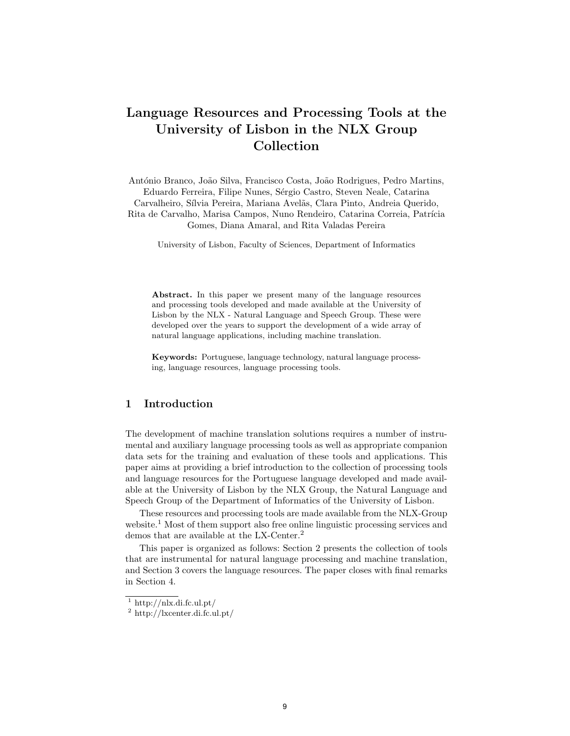# Language Resources and Processing Tools at the University of Lisbon in the NLX Group Collection

António Branco, João Silva, Francisco Costa, João Rodrigues, Pedro Martins, Eduardo Ferreira, Filipe Nunes, Sérgio Castro, Steven Neale, Catarina Carvalheiro, Sílvia Pereira, Mariana Avelãs, Clara Pinto, Andreia Querido, Rita de Carvalho, Marisa Campos, Nuno Rendeiro, Catarina Correia, Patrícia Gomes, Diana Amaral, and Rita Valadas Pereira

University of Lisbon, Faculty of Sciences, Department of Informatics

Abstract. In this paper we present many of the language resources and processing tools developed and made available at the University of Lisbon by the NLX - Natural Language and Speech Group. These were developed over the years to support the development of a wide array of natural language applications, including machine translation.

Keywords: Portuguese, language technology, natural language processing, language resources, language processing tools.

## 1 Introduction

The development of machine translation solutions requires a number of instrumental and auxiliary language processing tools as well as appropriate companion data sets for the training and evaluation of these tools and applications. This paper aims at providing a brief introduction to the collection of processing tools and language resources for the Portuguese language developed and made available at the University of Lisbon by the NLX Group, the Natural Language and Speech Group of the Department of Informatics of the University of Lisbon.

These resources and processing tools are made available from the NLX-Group website.<sup>1</sup> Most of them support also free online linguistic processing services and demos that are available at the LX-Center.<sup>2</sup>

This paper is organized as follows: Section 2 presents the collection of tools that are instrumental for natural language processing and machine translation, and Section 3 covers the language resources. The paper closes with final remarks in Section 4.

 $1 \text{ http://nlx.di.fc.ul.pt/}$ 

<sup>2</sup> http://lxcenter.di.fc.ul.pt/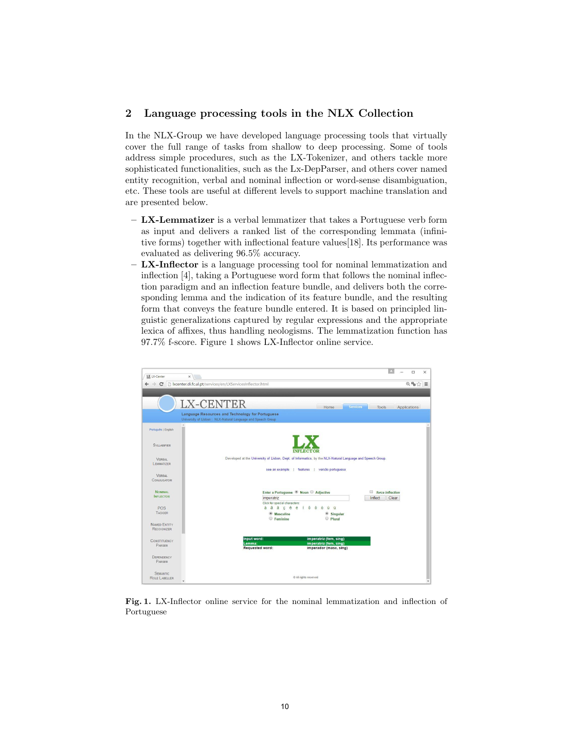## 2 Language processing tools in the NLX Collection

In the NLX-Group we have developed language processing tools that virtually cover the full range of tasks from shallow to deep processing. Some of tools address simple procedures, such as the LX-Tokenizer, and others tackle more sophisticated functionalities, such as the Lx-DepParser, and others cover named entity recognition, verbal and nominal inflection or word-sense disambiguation, etc. These tools are useful at different levels to support machine translation and are presented below.

- LX-Lemmatizer is a verbal lemmatizer that takes a Portuguese verb form as input and delivers a ranked list of the corresponding lemmata (infinitive forms) together with inflectional feature values[18]. Its performance was evaluated as delivering 96.5% accuracy.
- LX-Inflector is a language processing tool for nominal lemmatization and inflection [4], taking a Portuguese word form that follows the nominal inflection paradigm and an inflection feature bundle, and delivers both the corresponding lemma and the indication of its feature bundle, and the resulting form that conveys the feature bundle entered. It is based on principled linguistic generalizations captured by regular expressions and the appropriate lexica of affixes, thus handling neologisms. The lemmatization function has 97.7% f-score. Figure 1 shows LX-Inflector online service.



Fig. 1. LX-Inflector online service for the nominal lemmatization and inflection of Portuguese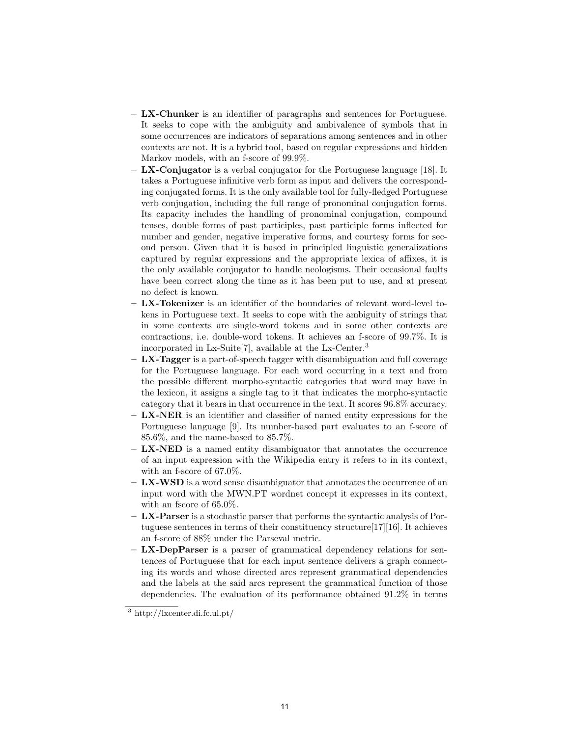- LX-Chunker is an identifier of paragraphs and sentences for Portuguese. It seeks to cope with the ambiguity and ambivalence of symbols that in some occurrences are indicators of separations among sentences and in other contexts are not. It is a hybrid tool, based on regular expressions and hidden Markov models, with an f-score of 99.9%.
- $-$  LX-Conjugator is a verbal conjugator for the Portuguese language [18]. It takes a Portuguese infinitive verb form as input and delivers the corresponding conjugated forms. It is the only available tool for fully-fledged Portuguese verb conjugation, including the full range of pronominal conjugation forms. Its capacity includes the handling of pronominal conjugation, compound tenses, double forms of past participles, past participle forms inflected for number and gender, negative imperative forms, and courtesy forms for second person. Given that it is based in principled linguistic generalizations captured by regular expressions and the appropriate lexica of affixes, it is the only available conjugator to handle neologisms. Their occasional faults have been correct along the time as it has been put to use, and at present no defect is known.
- LX-Tokenizer is an identifier of the boundaries of relevant word-level tokens in Portuguese text. It seeks to cope with the ambiguity of strings that in some contexts are single-word tokens and in some other contexts are contractions, i.e. double-word tokens. It achieves an f-score of 99.7%. It is incorporated in Lx-Suite[7], available at the Lx-Center.<sup>3</sup>
- $-$  LX-Tagger is a part-of-speech tagger with disambiguation and full coverage for the Portuguese language. For each word occurring in a text and from the possible different morpho-syntactic categories that word may have in the lexicon, it assigns a single tag to it that indicates the morpho-syntactic category that it bears in that occurrence in the text. It scores 96.8% accuracy.
- $-$  LX-NER is an identifier and classifier of named entity expressions for the Portuguese language [9]. Its number-based part evaluates to an f-score of 85.6%, and the name-based to 85.7%.
- $-$  LX-NED is a named entity disambiguator that annotates the occurrence of an input expression with the Wikipedia entry it refers to in its context, with an f-score of 67.0%.
- $-$  LX-WSD is a word sense disambiguator that annotates the occurrence of an input word with the MWN.PT wordnet concept it expresses in its context, with an fscore of 65.0%.
- LX-Parser is a stochastic parser that performs the syntactic analysis of Portuguese sentences in terms of their constituency structure[17][16]. It achieves an f-score of 88% under the Parseval metric.
- $-$  LX-DepParser is a parser of grammatical dependency relations for sentences of Portuguese that for each input sentence delivers a graph connecting its words and whose directed arcs represent grammatical dependencies and the labels at the said arcs represent the grammatical function of those dependencies. The evaluation of its performance obtained 91.2% in terms

 $\overline{3}$  http://lxcenter.di.fc.ul.pt/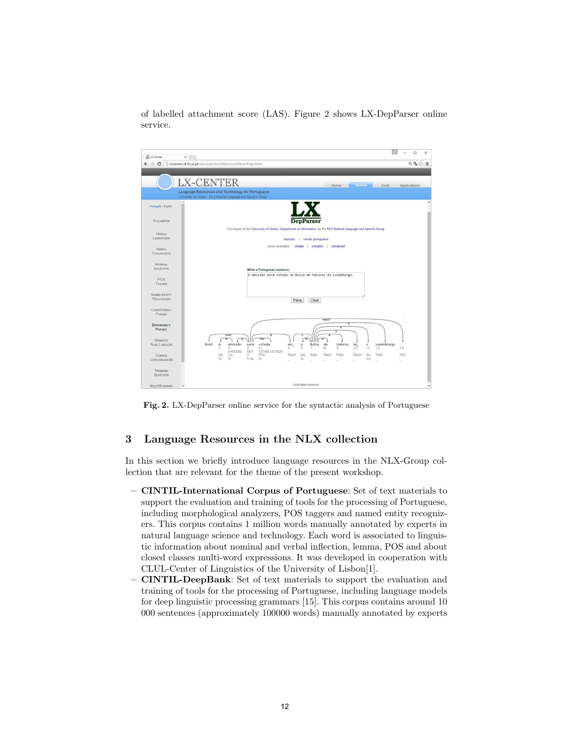of labelled attachment score (LAS). Figure 2 shows LX-DepParser online service.



Fig. 2. LX-DepParser online service for the syntactic analysis of Portuguese

#### 3 Language Resources in the NLX collection

In this section we briefly introduce language resources in the NLX-Group collection that are relevant for the theme of the present workshop.

- CINTIL-International Corpus of Portuguese: Set of text materials to support the evaluation and training of tools for the processing of Portuguese, including morphological analyzers, POS taggers and named entity recognizers. This corpus contains 1 million words manually annotated by experts in natural language science and technology. Each word is associated to linguistic information about nominal and verbal inflection, lemma, POS and about closed classes multi-word expressions. It was developed in cooperation with CLUL-Center of Linguistics of the University of Lisbon[1].
- CINTIL-DeepBank: Set of text materials to support the evaluation and training of tools for the processing of Portuguese, including language models for deep linguistic processing grammars [15]. This corpus contains around 10 000 sentences (approximately 100000 words) manually annotated by experts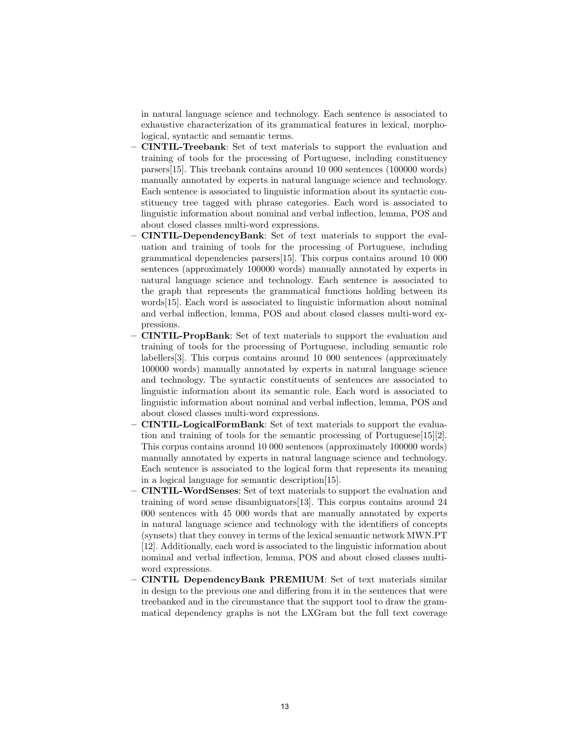in natural language science and technology. Each sentence is associated to exhaustive characterization of its grammatical features in lexical, morphological, syntactic and semantic terms.

- CINTIL-Treebank: Set of text materials to support the evaluation and training of tools for the processing of Portuguese, including constituency parsers[15]. This treebank contains around 10 000 sentences (100000 words) manually annotated by experts in natural language science and technology. Each sentence is associated to linguistic information about its syntactic constituency tree tagged with phrase categories. Each word is associated to linguistic information about nominal and verbal inflection, lemma, POS and about closed classes multi-word expressions.
- CINTIL-DependencyBank: Set of text materials to support the evaluation and training of tools for the processing of Portuguese, including grammatical dependencies parsers[15]. This corpus contains around 10 000 sentences (approximately 100000 words) manually annotated by experts in natural language science and technology. Each sentence is associated to the graph that represents the grammatical functions holding between its words[15]. Each word is associated to linguistic information about nominal and verbal inflection, lemma, POS and about closed classes multi-word expressions.
- CINTIL-PropBank: Set of text materials to support the evaluation and training of tools for the processing of Portuguese, including semantic role labellers[3]. This corpus contains around 10 000 sentences (approximately 100000 words) manually annotated by experts in natural language science and technology. The syntactic constituents of sentences are associated to linguistic information about its semantic role. Each word is associated to linguistic information about nominal and verbal inflection, lemma, POS and about closed classes multi-word expressions.
- CINTIL-LogicalFormBank: Set of text materials to support the evaluation and training of tools for the semantic processing of Portuguese[15][2]. This corpus contains around 10 000 sentences (approximately 100000 words) manually annotated by experts in natural language science and technology. Each sentence is associated to the logical form that represents its meaning in a logical language for semantic description[15].
- CINTIL-WordSenses: Set of text materials to support the evaluation and training of word sense disambiguators[13]. This corpus contains around 24 000 sentences with 45 000 words that are manually annotated by experts in natural language science and technology with the identifiers of concepts (synsets) that they convey in terms of the lexical semantic network MWN.PT [12]. Additionally, each word is associated to the linguistic information about nominal and verbal inflection, lemma, POS and about closed classes multiword expressions.
- CINTIL DependencyBank PREMIUM: Set of text materials similar in design to the previous one and differing from it in the sentences that were treebanked and in the circumstance that the support tool to draw the grammatical dependency graphs is not the LXGram but the full text coverage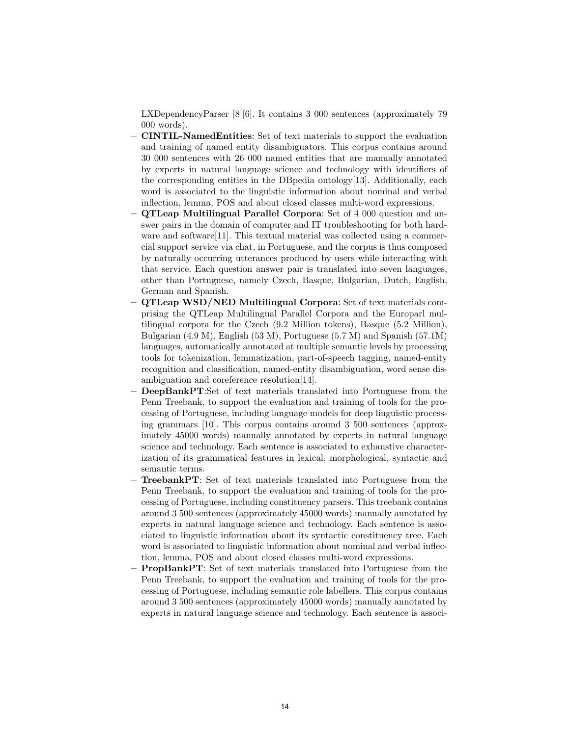LXDependencyParser [8][6]. It contains 3 000 sentences (approximately 79 000 words).

- CINTIL-NamedEntities: Set of text materials to support the evaluation and training of named entity disambiguators. This corpus contains around 30 000 sentences with 26 000 named entities that are manually annotated by experts in natural language science and technology with identifiers of the corresponding entities in the DBpedia ontology[13]. Additionally, each word is associated to the linguistic information about nominal and verbal inflection, lemma, POS and about closed classes multi-word expressions.
- QTLeap Multilingual Parallel Corpora: Set of 4 000 question and answer pairs in the domain of computer and IT troubleshooting for both hardware and software<sup>[11]</sup>. This textual material was collected using a commercial support service via chat, in Portuguese, and the corpus is thus composed by naturally occurring utterances produced by users while interacting with that service. Each question answer pair is translated into seven languages, other than Portuguese, namely Czech, Basque, Bulgarian, Dutch, English, German and Spanish.
- QTLeap WSD/NED Multilingual Corpora: Set of text materials comprising the QTLeap Multilingual Parallel Corpora and the Europarl multilingual corpora for the Czech (9.2 Million tokens), Basque (5.2 Million), Bulgarian (4.9 M), English (53 M), Portuguese (5.7 M) and Spanish (57.1M) languages, automatically annotated at multiple semantic levels by processing tools for tokenization, lemmatization, part-of-speech tagging, named-entity recognition and classification, named-entity disambiguation, word sense disambiguation and coreference resolution[14].
- DeepBankPT:Set of text materials translated into Portuguese from the Penn Treebank, to support the evaluation and training of tools for the processing of Portuguese, including language models for deep linguistic processing grammars [10]. This corpus contains around 3 500 sentences (approximately 45000 words) manually annotated by experts in natural language science and technology. Each sentence is associated to exhaustive characterization of its grammatical features in lexical, morphological, syntactic and semantic terms.
- TreebankPT: Set of text materials translated into Portuguese from the Penn Treebank, to support the evaluation and training of tools for the processing of Portuguese, including constituency parsers. This treebank contains around 3 500 sentences (approximately 45000 words) manually annotated by experts in natural language science and technology. Each sentence is associated to linguistic information about its syntactic constituency tree. Each word is associated to linguistic information about nominal and verbal inflection, lemma, POS and about closed classes multi-word expressions.
- PropBankPT: Set of text materials translated into Portuguese from the Penn Treebank, to support the evaluation and training of tools for the processing of Portuguese, including semantic role labellers. This corpus contains around 3 500 sentences (approximately 45000 words) manually annotated by experts in natural language science and technology. Each sentence is associ-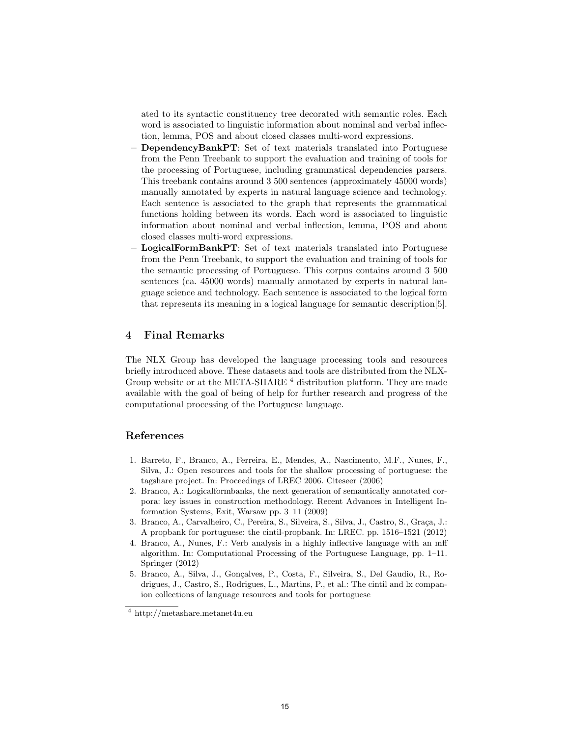ated to its syntactic constituency tree decorated with semantic roles. Each word is associated to linguistic information about nominal and verbal inflection, lemma, POS and about closed classes multi-word expressions.

- DependencyBankPT: Set of text materials translated into Portuguese from the Penn Treebank to support the evaluation and training of tools for the processing of Portuguese, including grammatical dependencies parsers. This treebank contains around 3 500 sentences (approximately 45000 words) manually annotated by experts in natural language science and technology. Each sentence is associated to the graph that represents the grammatical functions holding between its words. Each word is associated to linguistic information about nominal and verbal inflection, lemma, POS and about closed classes multi-word expressions.
- LogicalFormBankPT: Set of text materials translated into Portuguese from the Penn Treebank, to support the evaluation and training of tools for the semantic processing of Portuguese. This corpus contains around 3 500 sentences (ca. 45000 words) manually annotated by experts in natural language science and technology. Each sentence is associated to the logical form that represents its meaning in a logical language for semantic description[5].

#### 4 Final Remarks

The NLX Group has developed the language processing tools and resources briefly introduced above. These datasets and tools are distributed from the NLX-Group website or at the META-SHARE  $^4$  distribution platform. They are made available with the goal of being of help for further research and progress of the computational processing of the Portuguese language.

## References

- 1. Barreto, F., Branco, A., Ferreira, E., Mendes, A., Nascimento, M.F., Nunes, F., Silva, J.: Open resources and tools for the shallow processing of portuguese: the tagshare project. In: Proceedings of LREC 2006. Citeseer (2006)
- 2. Branco, A.: Logicalformbanks, the next generation of semantically annotated corpora: key issues in construction methodology. Recent Advances in Intelligent Information Systems, Exit, Warsaw pp. 3–11 (2009)
- 3. Branco, A., Carvalheiro, C., Pereira, S., Silveira, S., Silva, J., Castro, S., Graça, J.: A propbank for portuguese: the cintil-propbank. In: LREC. pp. 1516–1521 (2012)
- 4. Branco, A., Nunes, F.: Verb analysis in a highly inflective language with an mff algorithm. In: Computational Processing of the Portuguese Language, pp. 1–11. Springer (2012)
- 5. Branco, A., Silva, J., Gonçalves, P., Costa, F., Silveira, S., Del Gaudio, R., Rodrigues, J., Castro, S., Rodrigues, L., Martins, P., et al.: The cintil and lx companion collections of language resources and tools for portuguese

 $\frac{4 \text{ http://metashare.metanet4u.eu}}{4 \text{ http://metashare.metanet4u.eu}}$